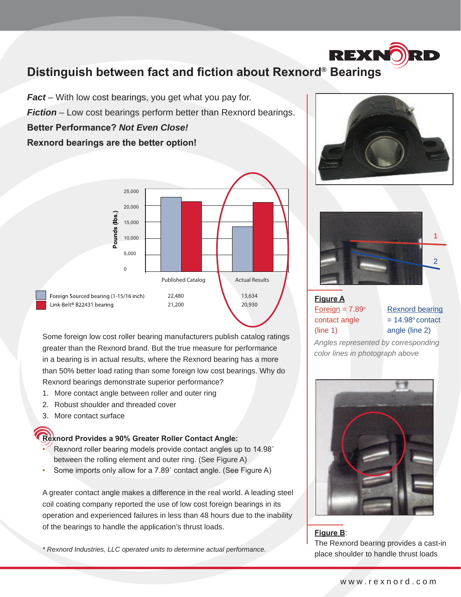# **Distinguish between fact and fiction about Rexnord® Bearings**

*Fact* – With low cost bearings, you get what you pay for. *Fiction* – Low cost bearings perform better than Rexnord bearings.

**Better Performance?** *Not Even Close!*

**Rexnord bearings are the better option!**



Some foreign low cost roller bearing manufacturers publish catalog ratings greater than the Rexnord brand. But the true measure for performance in a bearing is in actual results, where the Rexnord bearing has a more than 50% better load rating than some foreign low cost bearings. Why do Rexnord bearings demonstrate superior performance?

- 1. More contact angle between roller and outer ring
- 2. Robust shoulder and threaded cover
- 3. More contact surface

#### **Rexnord Provides a 90% Greater Roller Contact Angle:**

- Rexnord roller bearing models provide contact angles up to 14.98˚ between the rolling element and outer ring. (See Figure A)
- Some imports only allow for a 7.89° contact angle. (See Figure A)

A greater contact angle makes a difference in the real world. A leading steel coil coating company reported the use of low cost foreign bearings in its operation and experienced failures in less than 48 hours due to the inability of the bearings to handle the application's thrust loads.

*\* Rexnord Industries, LLC operated units to determine actual performance.*



**REXNO** 



## **Figure A**  $Foreign = 7.89°$ contact angle (line 1)

Rexnord bearing  $= 14.98$ ° contact angle (line 2)

*Angles represented by corresponding color lines in photograph above*



**Figure B**: The Rexnord bearing provides a cast-in place shoulder to handle thrust loads